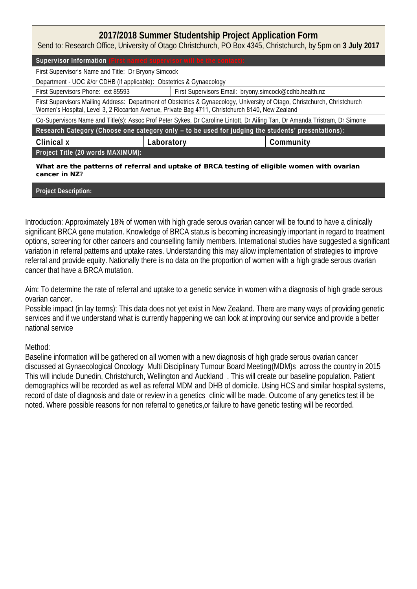## **2017/2018 Summer Studentship Project Application Form**

Send to: Research Office, University of Otago Christchurch, PO Box 4345, Christchurch, by 5pm on **3 July 2017**

Supervisor Information First Supervisor's Name and Title: Dr Bryony Simcock Department - UOC &/or CDHB (if applicable): Obstetrics & Gynaecology First Supervisors Phone: ext 85593 First Supervisors Email: bryony.simcock@cdhb.health.nz First Supervisors Mailing Address: Department of Obstetrics & Gynaecology, University of Otago, Christchurch, Christchurch Women's Hospital, Level 3, 2 Riccarton Avenue, Private Bag 4711, Christchurch 8140, New Zealand Co-Supervisors Name and Title(s): Assoc Prof Peter Sykes, Dr Caroline Lintott, Dr Ailing Tan, Dr Amanda Tristram, Dr Simone **Research Category (Choose one category only – to be used for judging the students' presentations): Clinical x Laboratory Community Project Title (20 words MAXIMUM): What are the patterns of referral and uptake of BRCA testing of eligible women with ovarian**  cancer in N7?

**Project Description:**

**Aneurysm**

Introduction: Approximately 18% of women with high grade serous ovarian cancer will be found to have a clinically significant BRCA gene mutation. Knowledge of BRCA status is becoming increasingly important in regard to treatment options, screening for other cancers and counselling family members. International studies have suggested a significant variation in referral patterns and uptake rates. Understanding this may allow implementation of strategies to improve referral and provide equity. Nationally there is no data on the proportion of women with a high grade serous ovarian cancer that have a BRCA mutation.

Aim: To determine the rate of referral and uptake to a genetic service in women with a diagnosis of high grade serous ovarian cancer.

Possible impact (in lay terms): This data does not yet exist in New Zealand. There are many ways of providing genetic services and if we understand what is currently happening we can look at improving our service and provide a better national service

## Method:

Baseline information will be gathered on all women with a new diagnosis of high grade serous ovarian cancer discussed at Gynaecological Oncology Multi Disciplinary Tumour Board Meeting(MDM)s across the country in 2015 This will include Dunedin, Christchurch, Wellington and Auckland . This will create our baseline population. Patient demographics will be recorded as well as referral MDM and DHB of domicile. Using HCS and similar hospital systems, record of date of diagnosis and date or review in a genetics clinic will be made. Outcome of any genetics test ill be noted. Where possible reasons for non referral to genetics,or failure to have genetic testing will be recorded.